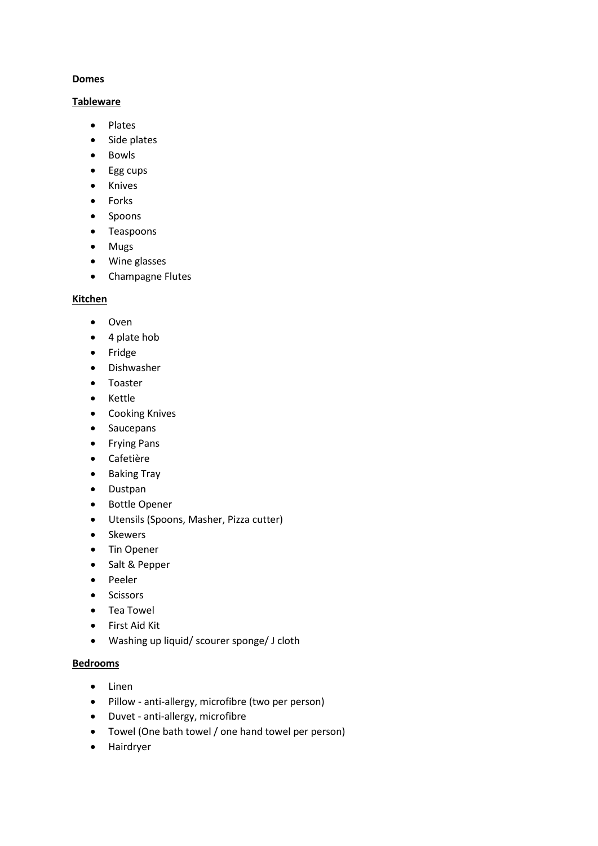### **Domes**

### **Tableware**

- Plates
- Side plates
- Bowls
- Egg cups
- Knives
- Forks
- Spoons
- Teaspoons
- Mugs
- Wine glasses
- Champagne Flutes

#### **Kitchen**

- Oven
- 4 plate hob
- Fridge
- Dishwasher
- Toaster
- Kettle
- Cooking Knives
- Saucepans
- Frying Pans
- Cafetière
- Baking Tray
- Dustpan
- Bottle Opener
- Utensils (Spoons, Masher, Pizza cutter)
- Skewers
- Tin Opener
- Salt & Pepper
- Peeler
- Scissors
- Tea Towel
- First Aid Kit
- Washing up liquid/ scourer sponge/ J cloth

#### **Bedrooms**

- Linen
- Pillow anti-allergy, microfibre (two per person)
- Duvet anti-allergy, microfibre
- Towel (One bath towel / one hand towel per person)
- Hairdryer